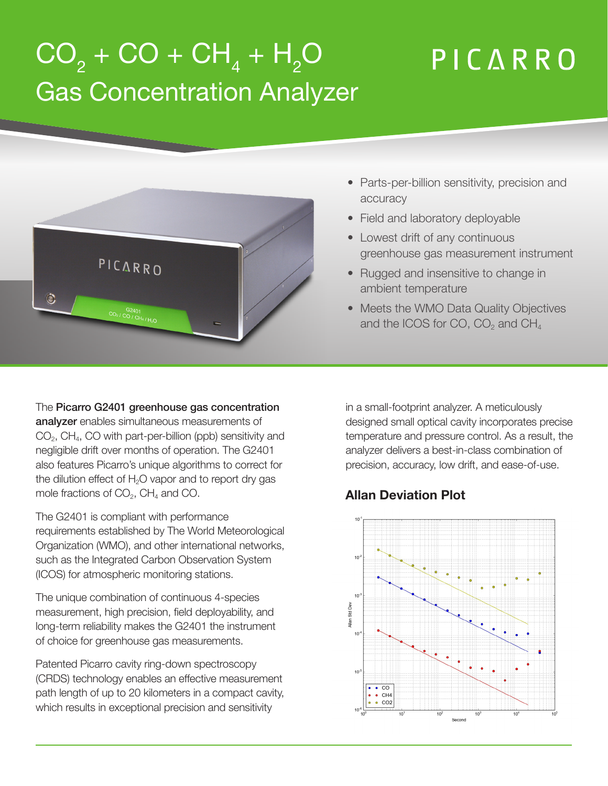## $\rm CO_{2} + \rm CO + \rm CH_{4} + \rm H_{2}O$ PICARRO Gas Concentration Analyzer



- Parts-per-billion sensitivity, precision and accuracy
- Field and laboratory deployable
- Lowest drift of any continuous greenhouse gas measurement instrument
- Rugged and insensitive to change in ambient temperature
- Meets the WMO Data Quality Objectives and the ICOS for CO,  $CO<sub>2</sub>$  and  $CH<sub>4</sub>$

The Picarro G2401 greenhouse gas concentration analyzer enables simultaneous measurements of  $CO<sub>2</sub>$ , CH<sub>4</sub>, CO with part-per-billion (ppb) sensitivity and negligible drift over months of operation. The G2401 also features Picarro's unique algorithms to correct for the dilution effect of  $H_2O$  vapor and to report dry gas mole fractions of  $CO<sub>2</sub>$ , CH<sub>4</sub> and CO.

The G2401 is compliant with performance requirements established by The World Meteorological Organization (WMO), and other international networks, such as the Integrated Carbon Observation System (ICOS) for atmospheric monitoring stations.

The unique combination of continuous 4-species measurement, high precision, field deployability, and long-term reliability makes the G2401 the instrument of choice for greenhouse gas measurements.

Patented Picarro cavity ring-down spectroscopy (CRDS) technology enables an effective measurement path length of up to 20 kilometers in a compact cavity, which results in exceptional precision and sensitivity

in a small-footprint analyzer. A meticulously designed small optical cavity incorporates precise temperature and pressure control. As a result, the analyzer delivers a best-in-class combination of precision, accuracy, low drift, and ease-of-use.

## **Allan Deviation Plot**